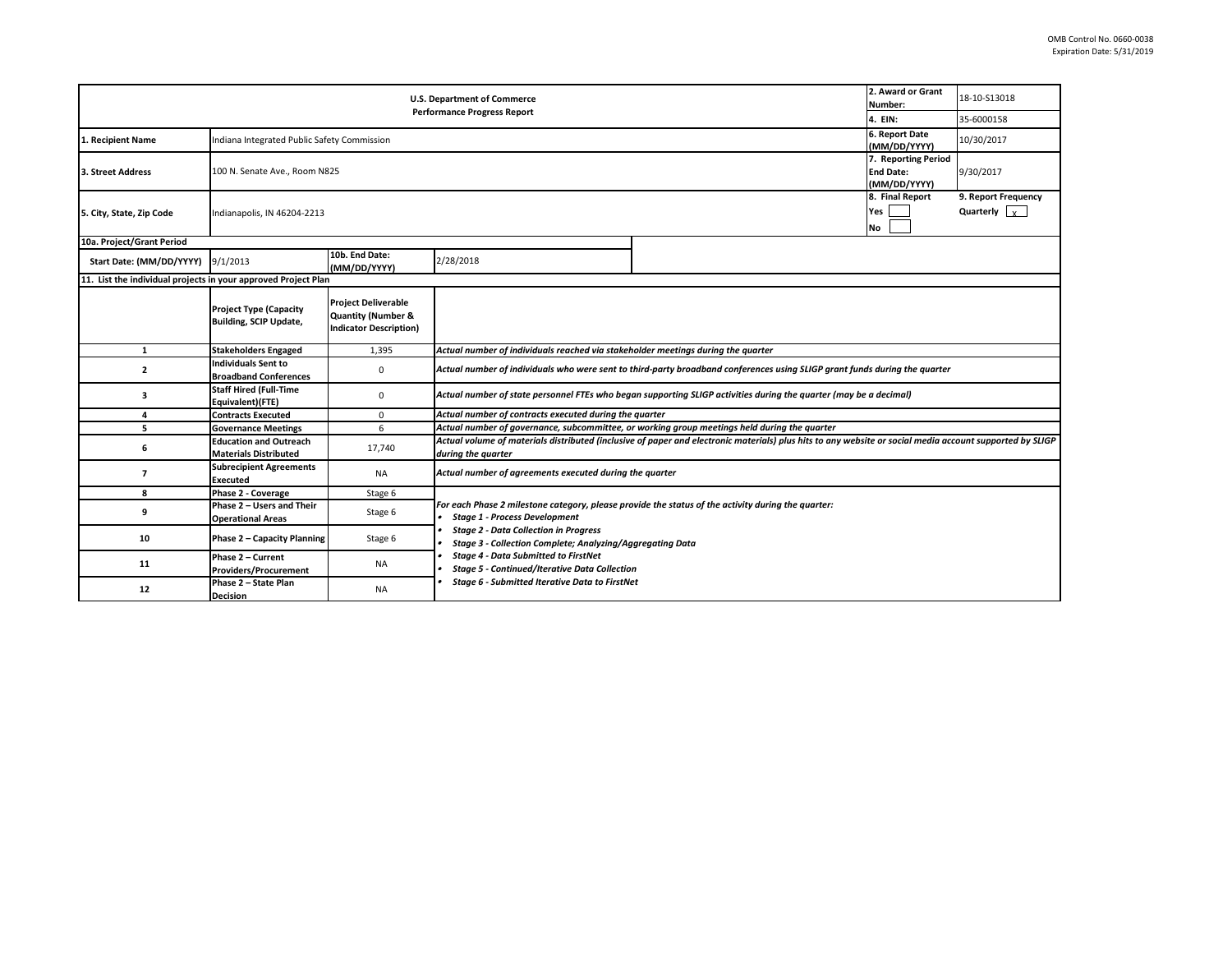| 2. Award or Grant<br><b>U.S. Department of Commerce</b><br>Number: |                                                                                          |                                                                                              |                                                                                                                                                                                                                                                         |  |         | 18-10-S13018                                |  |  |
|--------------------------------------------------------------------|------------------------------------------------------------------------------------------|----------------------------------------------------------------------------------------------|---------------------------------------------------------------------------------------------------------------------------------------------------------------------------------------------------------------------------------------------------------|--|---------|---------------------------------------------|--|--|
| <b>Performance Progress Report</b>                                 |                                                                                          |                                                                                              |                                                                                                                                                                                                                                                         |  | 4. EIN: | 35-6000158                                  |  |  |
| 1. Recipient Name                                                  | 6. Report Date<br>Indiana Integrated Public Safety Commission                            |                                                                                              |                                                                                                                                                                                                                                                         |  |         | 10/30/2017                                  |  |  |
| 3. Street Address                                                  | 7. Reporting Period<br>100 N. Senate Ave., Room N825<br><b>End Date:</b><br>(MM/DD/YYYY) |                                                                                              |                                                                                                                                                                                                                                                         |  |         | 9/30/2017                                   |  |  |
| 5. City, State, Zip Code                                           | 8. Final Report<br>Yes<br>Indianapolis, IN 46204-2213<br><b>No</b>                       |                                                                                              |                                                                                                                                                                                                                                                         |  |         | 9. Report Frequency<br>Quarterly $\sqrt{x}$ |  |  |
| 10a. Project/Grant Period                                          |                                                                                          |                                                                                              |                                                                                                                                                                                                                                                         |  |         |                                             |  |  |
| Start Date: (MM/DD/YYYY) 9/1/2013                                  |                                                                                          | 10b. End Date:<br>(MM/DD/YYYY)                                                               | 2/28/2018                                                                                                                                                                                                                                               |  |         |                                             |  |  |
| 11. List the individual projects in your approved Project Plan     |                                                                                          |                                                                                              |                                                                                                                                                                                                                                                         |  |         |                                             |  |  |
|                                                                    | <b>Project Type (Capacity</b><br><b>Building, SCIP Update,</b>                           | <b>Project Deliverable</b><br><b>Quantity (Number &amp;</b><br><b>Indicator Description)</b> |                                                                                                                                                                                                                                                         |  |         |                                             |  |  |
| 1                                                                  | <b>Stakeholders Engaged</b>                                                              | 1.395                                                                                        | Actual number of individuals reached via stakeholder meetings during the quarter                                                                                                                                                                        |  |         |                                             |  |  |
| $\mathbf{2}$                                                       | <b>Individuals Sent to</b><br><b>Broadband Conferences</b>                               | 0                                                                                            | Actual number of individuals who were sent to third-party broadband conferences using SLIGP grant funds during the quarter                                                                                                                              |  |         |                                             |  |  |
| з                                                                  | <b>Staff Hired (Full-Time</b><br>Equivalent)(FTE)                                        | 0                                                                                            | Actual number of state personnel FTEs who began supporting SLIGP activities during the quarter (may be a decimal)                                                                                                                                       |  |         |                                             |  |  |
| 4                                                                  | <b>Contracts Executed</b>                                                                | $\Omega$                                                                                     | Actual number of contracts executed during the quarter                                                                                                                                                                                                  |  |         |                                             |  |  |
| 5                                                                  | <b>Governance Meetings</b>                                                               | 6                                                                                            | Actual number of governance, subcommittee, or working group meetings held during the quarter                                                                                                                                                            |  |         |                                             |  |  |
| 6                                                                  | <b>Education and Outreach</b><br><b>Materials Distributed</b>                            | 17,740                                                                                       | Actual volume of materials distributed (inclusive of paper and electronic materials) plus hits to any website or social media account supported by SLIGP<br>during the quarter                                                                          |  |         |                                             |  |  |
| $\overline{7}$                                                     | <b>Subrecipient Agreements</b><br><b>Executed</b>                                        | <b>NA</b>                                                                                    | Actual number of agreements executed during the quarter                                                                                                                                                                                                 |  |         |                                             |  |  |
| 8                                                                  | Phase 2 - Coverage                                                                       | Stage 6                                                                                      |                                                                                                                                                                                                                                                         |  |         |                                             |  |  |
| 9                                                                  | Phase 2 - Users and Their<br><b>Operational Areas</b>                                    | Stage 6                                                                                      | For each Phase 2 milestone category, please provide the status of the activity during the quarter:<br><b>Stage 1 - Process Development</b><br><b>Stage 2 - Data Collection in Progress</b><br>Stage 3 - Collection Complete; Analyzing/Aggregating Data |  |         |                                             |  |  |
| 10                                                                 | Phase 2 - Capacity Planning                                                              | Stage 6                                                                                      |                                                                                                                                                                                                                                                         |  |         |                                             |  |  |
| 11                                                                 | Phase 2 - Current<br><b>Providers/Procurement</b>                                        | NA                                                                                           | <b>Stage 4 - Data Submitted to FirstNet</b><br><b>Stage 5 - Continued/Iterative Data Collection</b>                                                                                                                                                     |  |         |                                             |  |  |
| 12                                                                 | Phase 2 - State Plan<br><b>Decision</b>                                                  | <b>NA</b>                                                                                    | <b>Stage 6 - Submitted Iterative Data to FirstNet</b>                                                                                                                                                                                                   |  |         |                                             |  |  |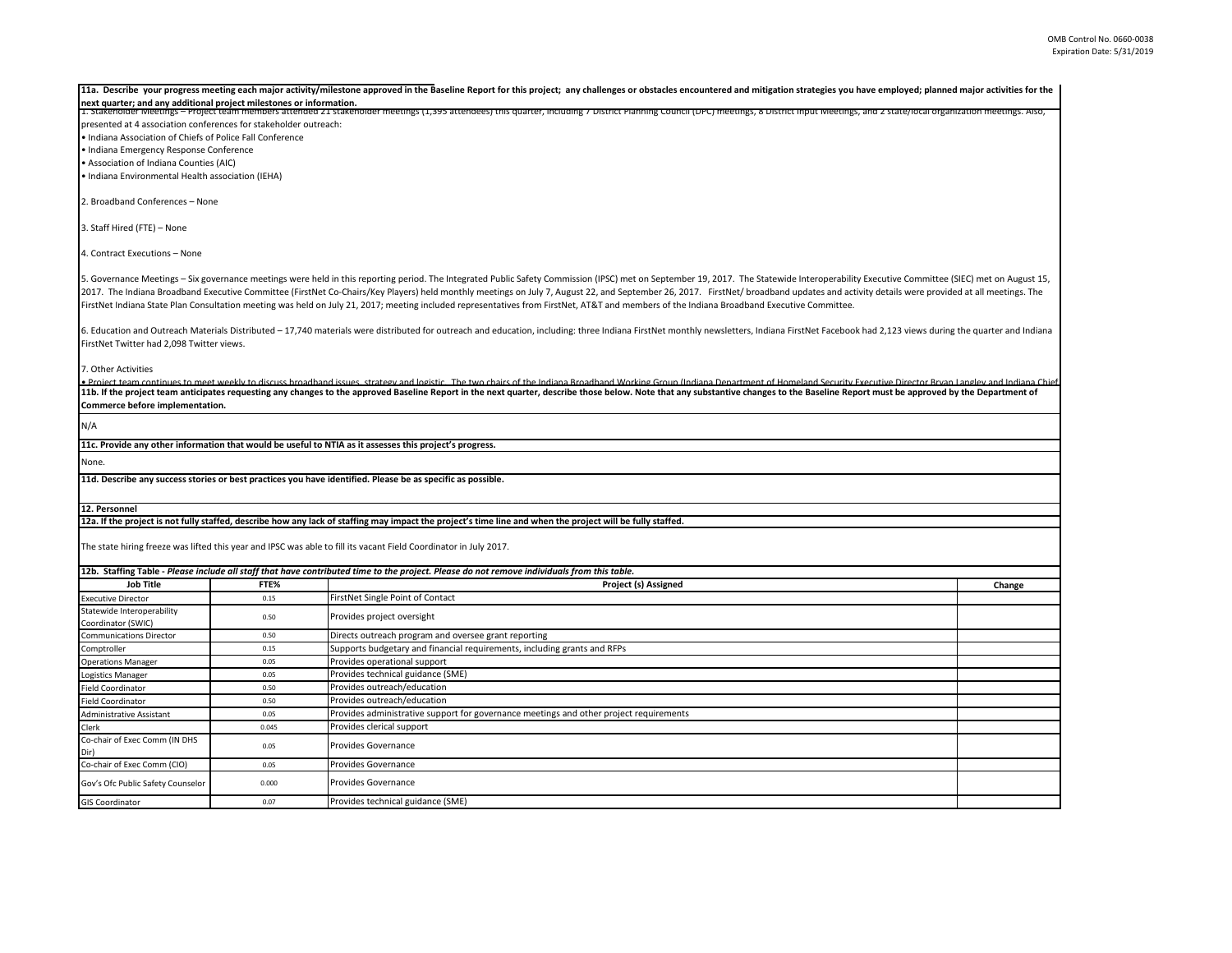|                                                                     |       | 11a. Describe your progress meeting each major activity/milestone approved in the Baseline Report for this project; any challenges or obstacles encountered and mitigation strategies you have employed; planned major activit |        |  |  |  |
|---------------------------------------------------------------------|-------|--------------------------------------------------------------------------------------------------------------------------------------------------------------------------------------------------------------------------------|--------|--|--|--|
| next quarter; and any additional project milestones or information. |       | 1. Stakenoider Meetings – Project team members attended 21 stakenoider meetings (1,395 attendees) this quarter, including 7 District Planning Council (DPC) meetings, 8 District input Meetings, and 2 state/local organizatio |        |  |  |  |
| presented at 4 association conferences for stakeholder outreach:    |       |                                                                                                                                                                                                                                |        |  |  |  |
| . Indiana Association of Chiefs of Police Fall Conference           |       |                                                                                                                                                                                                                                |        |  |  |  |
| · Indiana Emergency Response Conference                             |       |                                                                                                                                                                                                                                |        |  |  |  |
| • Association of Indiana Counties (AIC)                             |       |                                                                                                                                                                                                                                |        |  |  |  |
| · Indiana Environmental Health association (IEHA)                   |       |                                                                                                                                                                                                                                |        |  |  |  |
|                                                                     |       |                                                                                                                                                                                                                                |        |  |  |  |
| 2. Broadband Conferences - None                                     |       |                                                                                                                                                                                                                                |        |  |  |  |
| 3. Staff Hired (FTE) - None                                         |       |                                                                                                                                                                                                                                |        |  |  |  |
| 4. Contract Executions - None                                       |       |                                                                                                                                                                                                                                |        |  |  |  |
|                                                                     |       | 5. Governance Meetings - Six governance meetings were held in this reporting period. The Integrated Public Safety Commission (IPSC) met on September 19, 2017. The Statewide Interoperability Executive Committee (SIEC) met o |        |  |  |  |
|                                                                     |       | 2017. The Indiana Broadband Executive Committee (FirstNet Co-Chairs/Key Players) held monthly meetings on July 7, August 22, and September 26, 2017. FirstNet/ broadband updates and activity details were provided at all mee |        |  |  |  |
|                                                                     |       | FirstNet Indiana State Plan Consultation meeting was held on July 21, 2017; meeting included representatives from FirstNet, AT&T and members of the Indiana Broadband Executive Committee.                                     |        |  |  |  |
|                                                                     |       |                                                                                                                                                                                                                                |        |  |  |  |
|                                                                     |       | 6. Education and Outreach Materials Distributed - 17,740 materials were distributed for outreach and education, including: three Indiana FirstNet monthly newsletters, Indiana FirstNet Facebook had 2,123 views during the qu |        |  |  |  |
| FirstNet Twitter had 2,098 Twitter views.                           |       |                                                                                                                                                                                                                                |        |  |  |  |
| 7. Other Activities                                                 |       |                                                                                                                                                                                                                                |        |  |  |  |
|                                                                     |       | . Project team continues to meet weekly to discuss broadband issues, strategy and logistic. The two chairs of the Indiana Broadband Working Groun (Indiana Department of Homeland Security Executive Director Bryan Langley an |        |  |  |  |
|                                                                     |       | 11b. If the project team anticipates requesting any changes to the approved Baseline Report in the next quarter, describe those below. Note that any substantive changes to the Baseline Report must be approved by the Depart |        |  |  |  |
| Commerce before implementation.                                     |       |                                                                                                                                                                                                                                |        |  |  |  |
| N/A                                                                 |       |                                                                                                                                                                                                                                |        |  |  |  |
|                                                                     |       | 11c. Provide any other information that would be useful to NTIA as it assesses this project's progress.                                                                                                                        |        |  |  |  |
| None.                                                               |       |                                                                                                                                                                                                                                |        |  |  |  |
|                                                                     |       | 11d. Describe any success stories or best practices you have identified. Please be as specific as possible.                                                                                                                    |        |  |  |  |
|                                                                     |       |                                                                                                                                                                                                                                |        |  |  |  |
| 12. Personnel                                                       |       |                                                                                                                                                                                                                                |        |  |  |  |
|                                                                     |       | 12a. If the project is not fully staffed, describe how any lack of staffing may impact the project's time line and when the project will be fully staffed.                                                                     |        |  |  |  |
|                                                                     |       |                                                                                                                                                                                                                                |        |  |  |  |
|                                                                     |       | The state hiring freeze was lifted this year and IPSC was able to fill its vacant Field Coordinator in July 2017.                                                                                                              |        |  |  |  |
|                                                                     |       |                                                                                                                                                                                                                                |        |  |  |  |
| <b>Job Title</b>                                                    | FTE%  | 12b. Staffing Table - Please include all staff that have contributed time to the project. Please do not remove individuals from this table.<br>Project (s) Assigned                                                            |        |  |  |  |
| <b>Executive Director</b>                                           | 0.15  | FirstNet Single Point of Contact                                                                                                                                                                                               | Change |  |  |  |
| Statewide Interoperability                                          |       |                                                                                                                                                                                                                                |        |  |  |  |
| Coordinator (SWIC)                                                  | 0.50  | Provides project oversight                                                                                                                                                                                                     |        |  |  |  |
| <b>Communications Director</b>                                      | 0.50  | Directs outreach program and oversee grant reporting                                                                                                                                                                           |        |  |  |  |
| Comptroller                                                         | 0.15  | Supports budgetary and financial requirements, including grants and RFPs                                                                                                                                                       |        |  |  |  |
| <b>Operations Manager</b>                                           | 0.05  | Provides operational support                                                                                                                                                                                                   |        |  |  |  |
| Logistics Manager                                                   | 0.05  | Provides technical guidance (SME)                                                                                                                                                                                              |        |  |  |  |
| <b>Field Coordinator</b>                                            | 0.50  | Provides outreach/education                                                                                                                                                                                                    |        |  |  |  |
| Field Coordinator                                                   | 0.50  | Provides outreach/education                                                                                                                                                                                                    |        |  |  |  |
| Administrative Assistant                                            | 0.05  | Provides administrative support for governance meetings and other project requirements                                                                                                                                         |        |  |  |  |
| Clerk                                                               | 0.045 | Provides clerical support                                                                                                                                                                                                      |        |  |  |  |
| Co-chair of Exec Comm (IN DHS<br>Dir)                               | 0.05  | Provides Governance                                                                                                                                                                                                            |        |  |  |  |
| Co-chair of Exec Comm (CIO)                                         | 0.05  | Provides Governance                                                                                                                                                                                                            |        |  |  |  |
| Gov's Ofc Public Safety Counselor                                   | 0.000 | Provides Governance                                                                                                                                                                                                            |        |  |  |  |
| <b>GIS Coordinator</b>                                              | 0.07  | Provides technical guidance (SME)                                                                                                                                                                                              |        |  |  |  |
|                                                                     |       |                                                                                                                                                                                                                                |        |  |  |  |